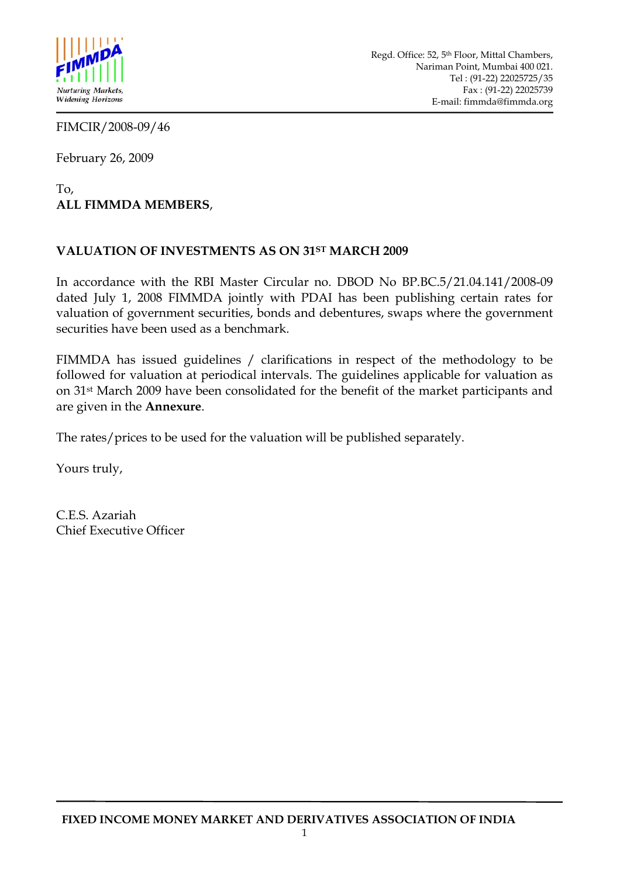

FIMCIR/2008-09/46

February 26, 2009

## To, **ALL FIMMDA MEMBERS**,

## **VALUATION OF INVESTMENTS AS ON 31ST MARCH 2009**

In accordance with the RBI Master Circular no. DBOD No BP.BC.5/21.04.141/2008-09 dated July 1, 2008 FIMMDA jointly with PDAI has been publishing certain rates for valuation of government securities, bonds and debentures, swaps where the government securities have been used as a benchmark.

FIMMDA has issued guidelines / clarifications in respect of the methodology to be followed for valuation at periodical intervals. The guidelines applicable for valuation as on 31st March 2009 have been consolidated for the benefit of the market participants and are given in the **Annexure**.

The rates/prices to be used for the valuation will be published separately.

Yours truly,

C.E.S. Azariah Chief Executive Officer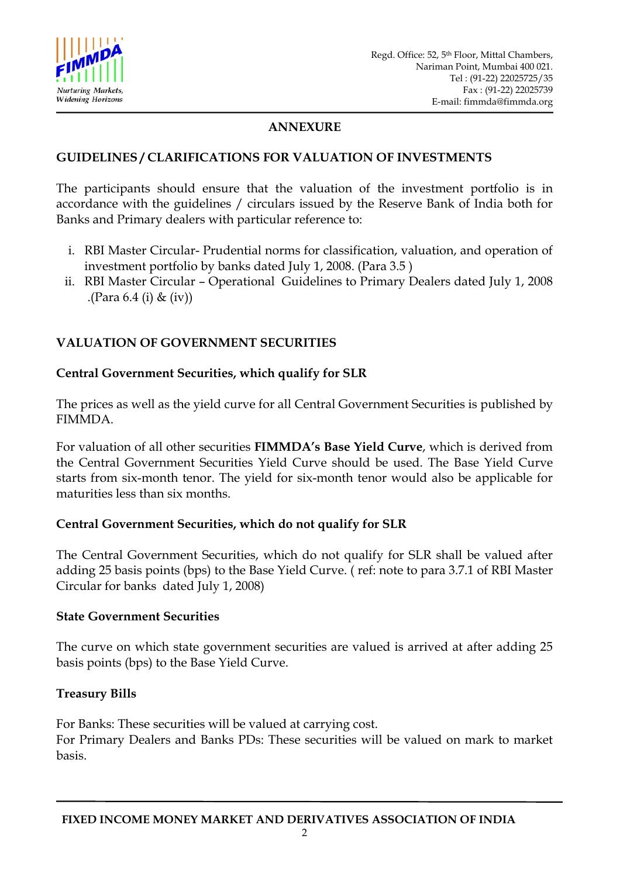

## **ANNEXURE**

#### **GUIDELINES / CLARIFICATIONS FOR VALUATION OF INVESTMENTS**

The participants should ensure that the valuation of the investment portfolio is in accordance with the guidelines / circulars issued by the Reserve Bank of India both for Banks and Primary dealers with particular reference to:

- i. RBI Master Circular- Prudential norms for classification, valuation, and operation of investment portfolio by banks dated July 1, 2008. (Para 3.5 )
- ii. RBI Master Circular Operational Guidelines to Primary Dealers dated July 1, 2008 .(Para 6.4 (i) & (iv))

## **VALUATION OF GOVERNMENT SECURITIES**

#### **Central Government Securities, which qualify for SLR**

The prices as well as the yield curve for all Central Government Securities is published by FIMMDA.

For valuation of all other securities **FIMMDA's Base Yield Curve**, which is derived from the Central Government Securities Yield Curve should be used. The Base Yield Curve starts from six-month tenor. The yield for six-month tenor would also be applicable for maturities less than six months.

#### **Central Government Securities, which do not qualify for SLR**

The Central Government Securities, which do not qualify for SLR shall be valued after adding 25 basis points (bps) to the Base Yield Curve. ( ref: note to para 3.7.1 of RBI Master Circular for banks dated July 1, 2008)

#### **State Government Securities**

The curve on which state government securities are valued is arrived at after adding 25 basis points (bps) to the Base Yield Curve.

#### **Treasury Bills**

For Banks: These securities will be valued at carrying cost. For Primary Dealers and Banks PDs: These securities will be valued on mark to market basis.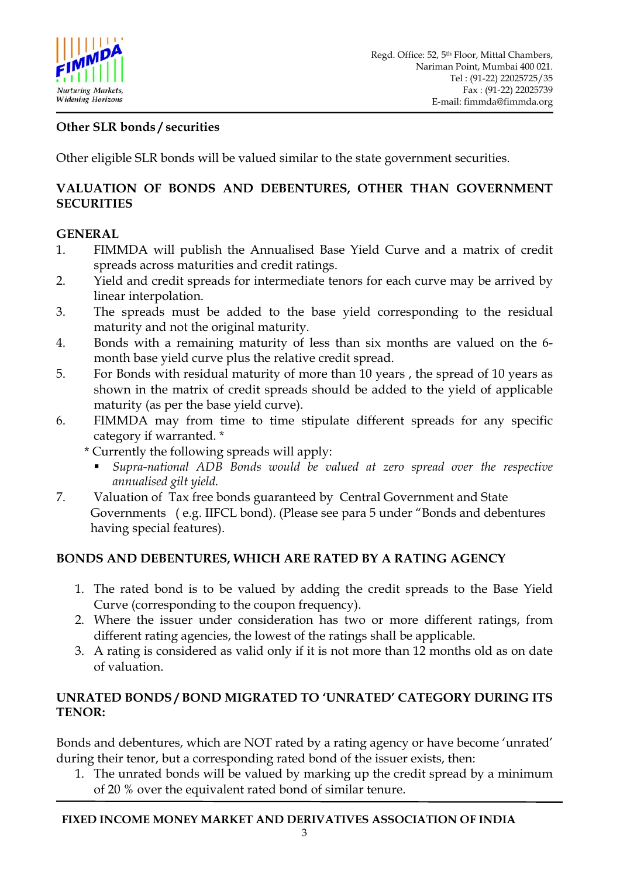

# **Other SLR bonds / securities**

Other eligible SLR bonds will be valued similar to the state government securities.

## **VALUATION OF BONDS AND DEBENTURES, OTHER THAN GOVERNMENT SECURITIES**

## **GENERAL**

- 1. FIMMDA will publish the Annualised Base Yield Curve and a matrix of credit spreads across maturities and credit ratings.
- 2. Yield and credit spreads for intermediate tenors for each curve may be arrived by linear interpolation.
- 3. The spreads must be added to the base yield corresponding to the residual maturity and not the original maturity.
- 4. Bonds with a remaining maturity of less than six months are valued on the 6 month base yield curve plus the relative credit spread.
- 5. For Bonds with residual maturity of more than 10 years , the spread of 10 years as shown in the matrix of credit spreads should be added to the yield of applicable maturity (as per the base yield curve).
- 6. FIMMDA may from time to time stipulate different spreads for any specific category if warranted. \*
	- \* Currently the following spreads will apply:
		- *Supra-national ADB Bonds would be valued at zero spread over the respective annualised gilt yield.*
- 7. Valuation of Tax free bonds guaranteed by Central Government and State Governments ( e.g. IIFCL bond). (Please see para 5 under "Bonds and debentures having special features).

# **BONDS AND DEBENTURES, WHICH ARE RATED BY A RATING AGENCY**

- 1. The rated bond is to be valued by adding the credit spreads to the Base Yield Curve (corresponding to the coupon frequency).
- 2. Where the issuer under consideration has two or more different ratings, from different rating agencies, the lowest of the ratings shall be applicable.
- 3. A rating is considered as valid only if it is not more than 12 months old as on date of valuation.

#### **UNRATED BONDS / BOND MIGRATED TO 'UNRATED' CATEGORY DURING ITS TENOR:**

Bonds and debentures, which are NOT rated by a rating agency or have become 'unrated' during their tenor, but a corresponding rated bond of the issuer exists, then:

1. The unrated bonds will be valued by marking up the credit spread by a minimum of 20 % over the equivalent rated bond of similar tenure.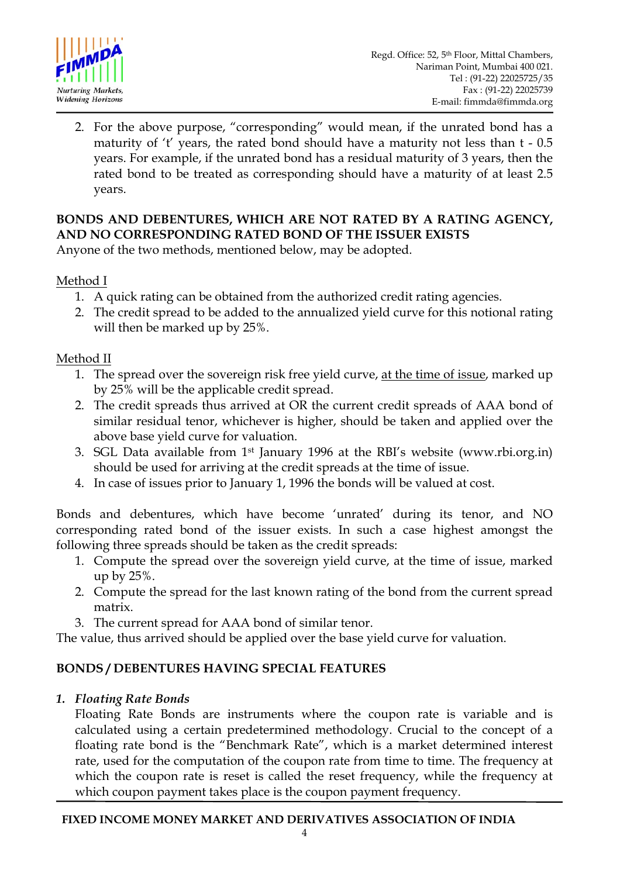

2. For the above purpose, "corresponding" would mean, if the unrated bond has a maturity of 't' years, the rated bond should have a maturity not less than t - 0.5 years. For example, if the unrated bond has a residual maturity of 3 years, then the rated bond to be treated as corresponding should have a maturity of at least 2.5 years.

# **BONDS AND DEBENTURES, WHICH ARE NOT RATED BY A RATING AGENCY, AND NO CORRESPONDING RATED BOND OF THE ISSUER EXISTS**

Anyone of the two methods, mentioned below, may be adopted.

Method I

- 1. A quick rating can be obtained from the authorized credit rating agencies.
- 2. The credit spread to be added to the annualized yield curve for this notional rating will then be marked up by 25%.

# Method II

- 1. The spread over the sovereign risk free yield curve, at the time of issue, marked up by 25% will be the applicable credit spread.
- 2. The credit spreads thus arrived at OR the current credit spreads of AAA bond of similar residual tenor, whichever is higher, should be taken and applied over the above base yield curve for valuation.
- 3. SGL Data available from 1st January 1996 at the RBI's website (www.rbi.org.in) should be used for arriving at the credit spreads at the time of issue.
- 4. In case of issues prior to January 1, 1996 the bonds will be valued at cost.

Bonds and debentures, which have become 'unrated' during its tenor, and NO corresponding rated bond of the issuer exists. In such a case highest amongst the following three spreads should be taken as the credit spreads:

- 1. Compute the spread over the sovereign yield curve, at the time of issue, marked up by 25%.
- 2. Compute the spread for the last known rating of the bond from the current spread matrix.
- 3. The current spread for AAA bond of similar tenor.

The value, thus arrived should be applied over the base yield curve for valuation.

# **BONDS / DEBENTURES HAVING SPECIAL FEATURES**

#### *1. Floating Rate Bonds*

Floating Rate Bonds are instruments where the coupon rate is variable and is calculated using a certain predetermined methodology. Crucial to the concept of a floating rate bond is the "Benchmark Rate", which is a market determined interest rate, used for the computation of the coupon rate from time to time. The frequency at which the coupon rate is reset is called the reset frequency, while the frequency at which coupon payment takes place is the coupon payment frequency.

#### **FIXED INCOME MONEY MARKET AND DERIVATIVES ASSOCIATION OF INDIA**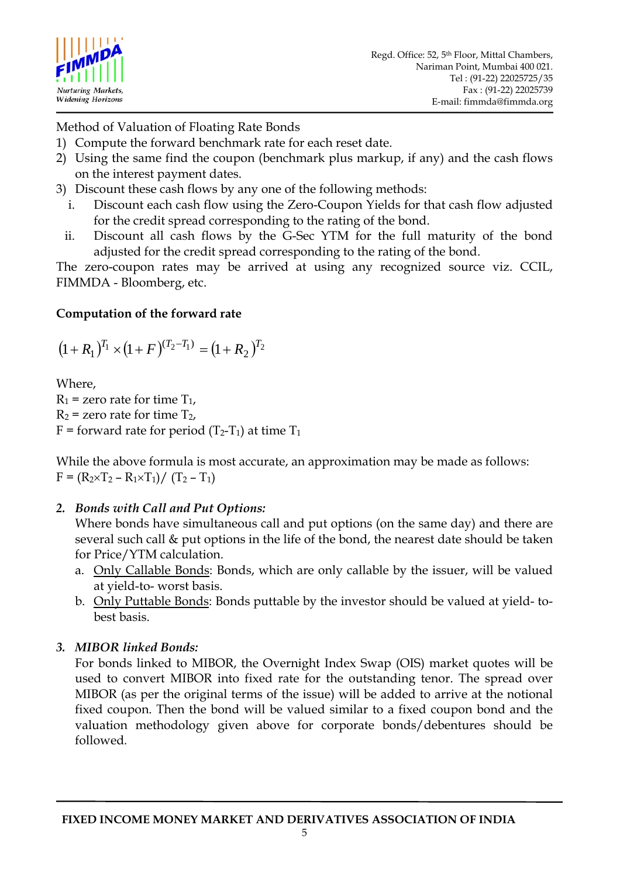

Method of Valuation of Floating Rate Bonds

- 1) Compute the forward benchmark rate for each reset date.
- 2) Using the same find the coupon (benchmark plus markup, if any) and the cash flows on the interest payment dates.
- 3) Discount these cash flows by any one of the following methods:
	- i. Discount each cash flow using the Zero-Coupon Yields for that cash flow adjusted for the credit spread corresponding to the rating of the bond.
	- ii. Discount all cash flows by the G-Sec YTM for the full maturity of the bond adjusted for the credit spread corresponding to the rating of the bond.

The zero-coupon rates may be arrived at using any recognized source viz. CCIL, FIMMDA - Bloomberg, etc.

# **Computation of the forward rate**

$$
(1+R_1)^{T_1} \times (1+F)^{(T_2-T_1)} = (1+R_2)^{T_2}
$$

Where,

 $R_1$  = zero rate for time  $T_1$ ,  $R_2$  = zero rate for time  $T_2$ , F = forward rate for period  $(T_2-T_1)$  at time  $T_1$ 

While the above formula is most accurate, an approximation may be made as follows:  $F = (R_2 \times T_2 - R_1 \times T_1) / (T_2 - T_1)$ 

# *2. Bonds with Call and Put Options:*

Where bonds have simultaneous call and put options (on the same day) and there are several such call & put options in the life of the bond, the nearest date should be taken for Price/YTM calculation.

- a. Only Callable Bonds: Bonds, which are only callable by the issuer, will be valued at yield-to- worst basis.
- b. Only Puttable Bonds: Bonds puttable by the investor should be valued at yield- tobest basis.

# *3. MIBOR linked Bonds:*

For bonds linked to MIBOR, the Overnight Index Swap (OIS) market quotes will be used to convert MIBOR into fixed rate for the outstanding tenor. The spread over MIBOR (as per the original terms of the issue) will be added to arrive at the notional fixed coupon. Then the bond will be valued similar to a fixed coupon bond and the valuation methodology given above for corporate bonds/debentures should be followed*.*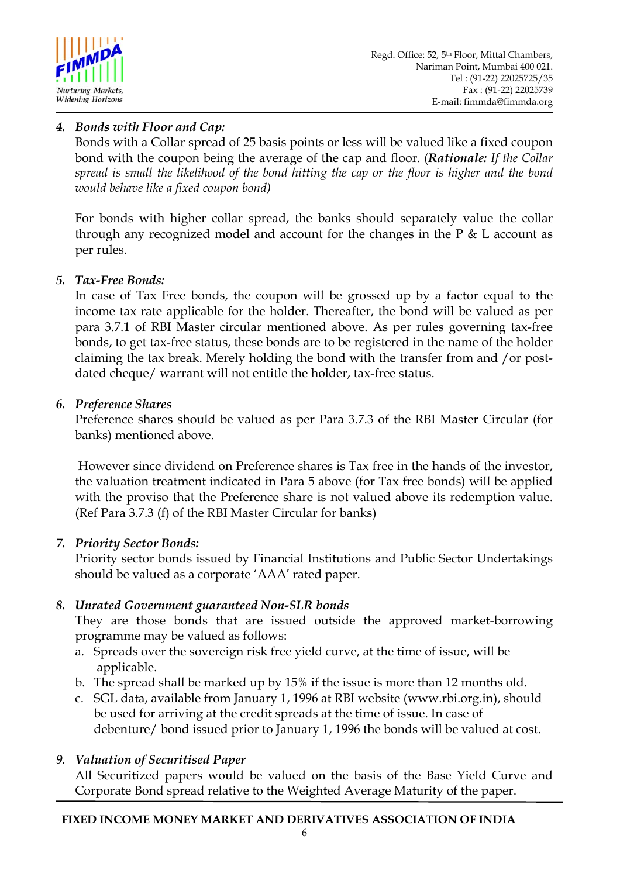

# *4. Bonds with Floor and Cap:*

Bonds with a Collar spread of 25 basis points or less will be valued like a fixed coupon bond with the coupon being the average of the cap and floor. (*Rationale: If the Collar spread is small the likelihood of the bond hitting the cap or the floor is higher and the bond would behave like a fixed coupon bond)* 

For bonds with higher collar spread, the banks should separately value the collar through any recognized model and account for the changes in the  $P \& L$  account as per rules.

## *5. Tax-Free Bonds:*

In case of Tax Free bonds, the coupon will be grossed up by a factor equal to the income tax rate applicable for the holder. Thereafter, the bond will be valued as per para 3.7.1 of RBI Master circular mentioned above. As per rules governing tax-free bonds, to get tax-free status, these bonds are to be registered in the name of the holder claiming the tax break. Merely holding the bond with the transfer from and /or postdated cheque/ warrant will not entitle the holder, tax-free status.

## *6. Preference Shares*

Preference shares should be valued as per Para 3.7.3 of the RBI Master Circular (for banks) mentioned above.

 However since dividend on Preference shares is Tax free in the hands of the investor, the valuation treatment indicated in Para 5 above (for Tax free bonds) will be applied with the proviso that the Preference share is not valued above its redemption value. (Ref Para 3.7.3 (f) of the RBI Master Circular for banks)

# *7. Priority Sector Bonds:*

Priority sector bonds issued by Financial Institutions and Public Sector Undertakings should be valued as a corporate 'AAA' rated paper.

# *8. Unrated Government guaranteed Non-SLR bonds*

They are those bonds that are issued outside the approved market-borrowing programme may be valued as follows:

- a. Spreads over the sovereign risk free yield curve, at the time of issue, will be applicable.
- b. The spread shall be marked up by 15% if the issue is more than 12 months old.
- c. SGL data, available from January 1, 1996 at RBI website (www.rbi.org.in), should be used for arriving at the credit spreads at the time of issue. In case of debenture/ bond issued prior to January 1, 1996 the bonds will be valued at cost.

# *9. Valuation of Securitised Paper*

All Securitized papers would be valued on the basis of the Base Yield Curve and Corporate Bond spread relative to the Weighted Average Maturity of the paper.

#### **FIXED INCOME MONEY MARKET AND DERIVATIVES ASSOCIATION OF INDIA**